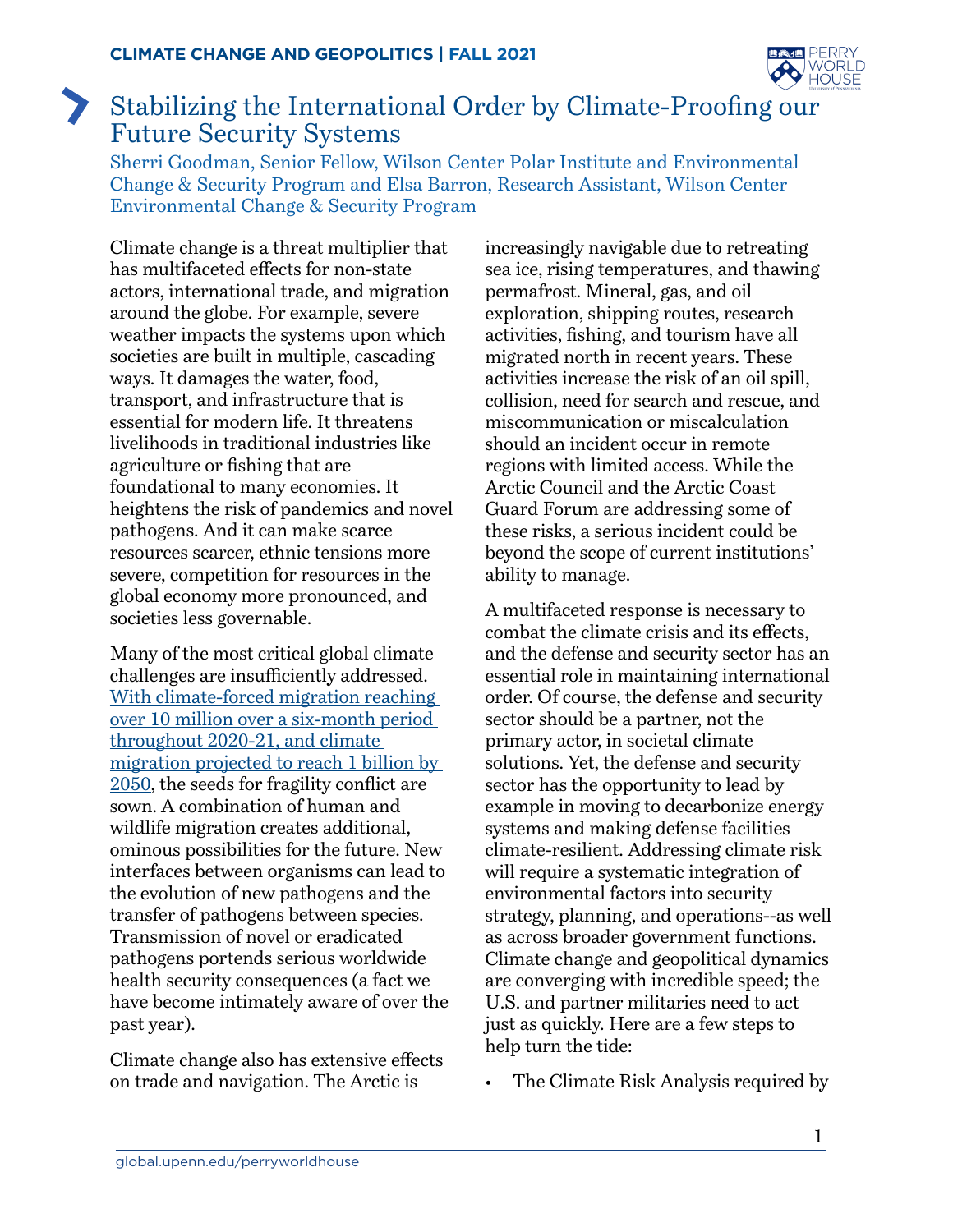

## Stabilizing the International Order by Climate-Proofing our Z Future Security Systems

Sherri Goodman, Senior Fellow, Wilson Center Polar Institute and Environmental Change & Security Program and Elsa Barron, Research Assistant, Wilson Center Environmental Change & Security Program

Climate change is a threat multiplier that has multifaceted effects for non-state actors, international trade, and migration around the globe. For example, severe weather impacts the systems upon which societies are built in multiple, cascading ways. It damages the water, food, transport, and infrastructure that is essential for modern life. It threatens livelihoods in traditional industries like agriculture or fishing that are foundational to many economies. It heightens the risk of pandemics and novel pathogens. And it can make scarce resources scarcer, ethnic tensions more severe, competition for resources in the global economy more pronounced, and societies less governable.

Many of the most critical global climate challenges are insufficiently addressed. [With climate-forced migration reaching](https://www.reuters.com/article/us-climate-change-displacement-idUSKBN2B90Z8)  [over 10 million over a six-month period](https://www.reuters.com/article/us-climate-change-displacement-idUSKBN2B90Z8)  [throughout 2020-21, and climate](https://www.reuters.com/article/us-climate-change-displacement-idUSKBN2B90Z8)  [migration projected to reach 1 billion by](https://www.reuters.com/article/us-climate-change-displacement-idUSKBN2B90Z8)  [2050,](https://www.reuters.com/article/us-climate-change-displacement-idUSKBN2B90Z8) the seeds for fragility conflict are sown. A combination of human and wildlife migration creates additional, ominous possibilities for the future. New interfaces between organisms can lead to the evolution of new pathogens and the transfer of pathogens between species. Transmission of novel or eradicated pathogens portends serious worldwide health security consequences (a fact we have become intimately aware of over the past year).

Climate change also has extensive effects on trade and navigation. The Arctic is

increasingly navigable due to retreating sea ice, rising temperatures, and thawing permafrost. Mineral, gas, and oil exploration, shipping routes, research activities, fishing, and tourism have all migrated north in recent years. These activities increase the risk of an oil spill, collision, need for search and rescue, and miscommunication or miscalculation should an incident occur in remote regions with limited access. While the Arctic Council and the Arctic Coast Guard Forum are addressing some of these risks, a serious incident could be beyond the scope of current institutions' ability to manage.

A multifaceted response is necessary to combat the climate crisis and its effects, and the defense and security sector has an essential role in maintaining international order. Of course, the defense and security sector should be a partner, not the primary actor, in societal climate solutions. Yet, the defense and security sector has the opportunity to lead by example in moving to decarbonize energy systems and making defense facilities climate-resilient. Addressing climate risk will require a systematic integration of environmental factors into security strategy, planning, and operations--as well as across broader government functions. Climate change and geopolitical dynamics are converging with incredible speed; the U.S. and partner militaries need to act just as quickly. Here are a few steps to help turn the tide:

The Climate Risk Analysis required by